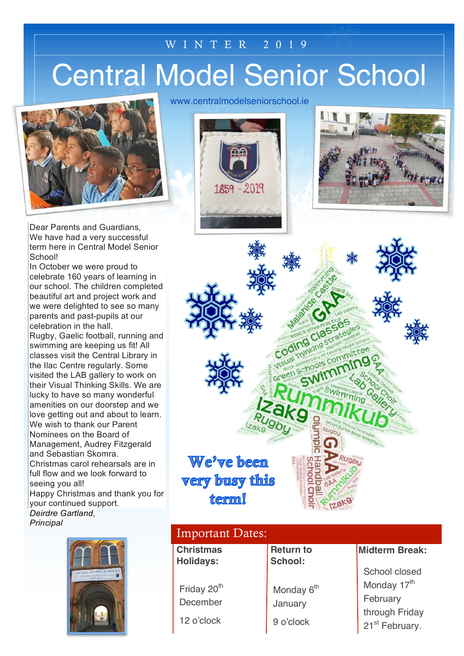### WINTER 201 9

# Central Model Senior School



Dear Parents and Guardians, We have had a very successful term here in Central Model Senior School!

In October we were proud to celebrate 160 years of learning in our school. The children completed beautiful art and project work and we were delighted to see so many parents and past-pupils at our celebration in the hall. Rugby, Gaelic football, running and swimming are keeping us fit! All classes visit the Central Library in the Ilac Centre regularly. Some visited the LAB gallery to work on their Visual Thinking Skills. We are lucky to have so many wonderful amenities on our doorstep and we love getting out and about to learn. We wish to thank our Parent Nominees on the Board of Management, Audrey Fitzgerald and Sebastian Skomra. Christmas carol rehearsals are in full flow and we look forward to seeing you all! Happy Christmas and thank you for your continued support. *Deirdre Gartland, Principal*



www.centralmodelseniorschool.ie







| <b>Important Dates:</b>              |                                   |                                              |
|--------------------------------------|-----------------------------------|----------------------------------------------|
| <b>Christmas</b><br><b>Holidays:</b> | <b>Return to</b><br>School:       | <b>Midterm Break:</b>                        |
|                                      |                                   | School closed                                |
| Friday 20 <sup>th</sup>              | Monday 6 <sup>th</sup><br>January | Monday 17th                                  |
| December                             |                                   | February                                     |
| 12 o'clock                           | 9 o'clock                         | through Friday<br>21 <sup>st</sup> February. |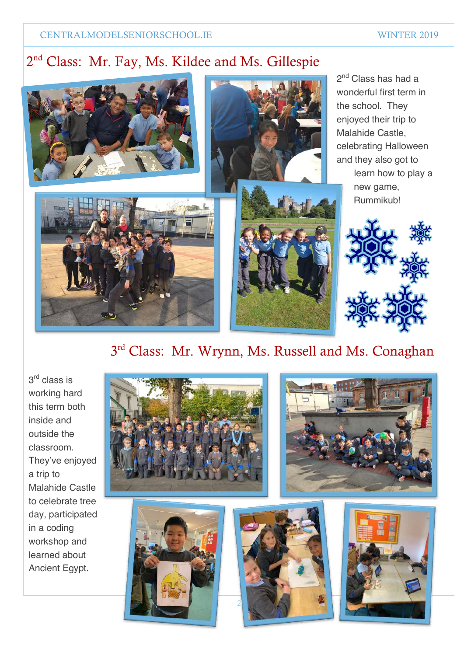### 2nd Class: Mr. Fay, Ms. Kildee and Ms. Gillespie



### 3<sup>rd</sup> Class: Mr. Wrynn, Ms. Russell and Ms. Conaghan

3<sup>rd</sup> class is working hard this term both inside and outside the classroom. They've enjoyed a trip to Malahide Castle to celebrate tree day, participated in a coding workshop and learned about Ancient Egypt.

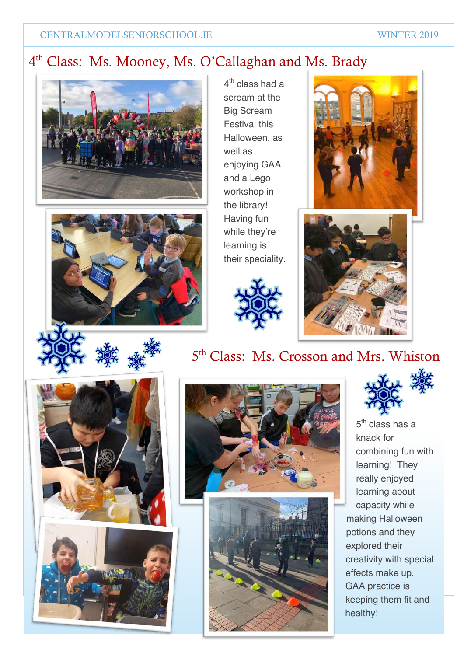### 4th Class: Ms. Mooney, Ms. O'Callaghan and Ms. Brady





 $4<sup>th</sup>$  class had a scream at the Big Scream Festival this Halloween, as well as enjoying GAA and a Lego workshop in the library! Having fun while they're learning is their speciality.







# 5<sup>th</sup> Class: Ms. Crosson and Mrs. Whiston









5<sup>th</sup> class has a knack for combining fun with learning! They really enjoyed learning about capacity while making Halloween potions and they explored their creativity with special effects make up. GAA practice is keeping them fit and healthy!